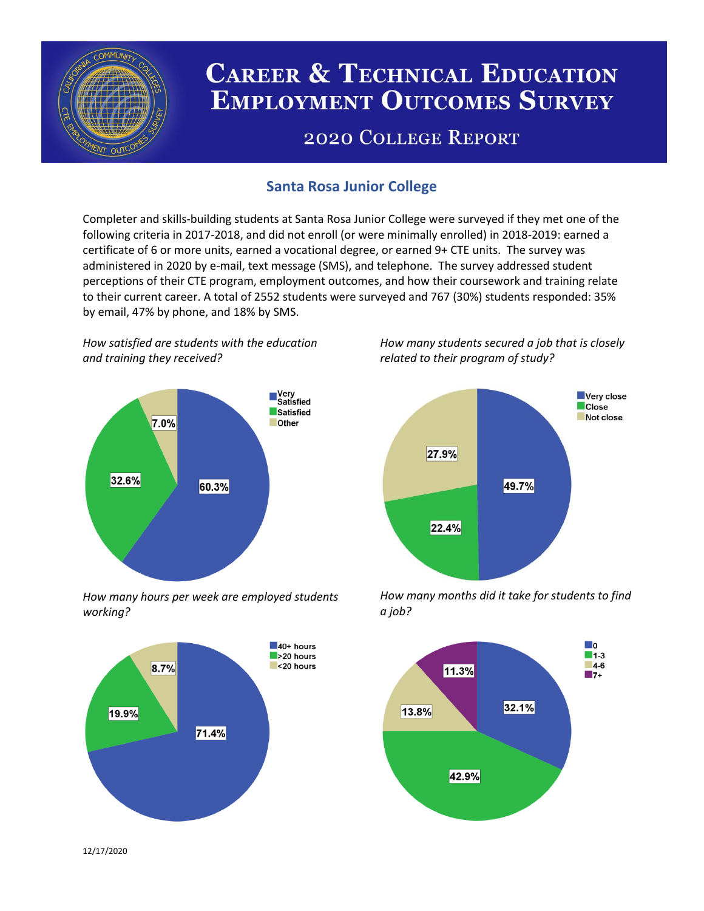

# **CAREER & TECHNICAL EDUCATION EMPLOYMENT OUTCOMES SURVEY**

## **2020 COLLEGE REPORT**

## **Santa Rosa Junior College**

Completer and skills-building students at Santa Rosa Junior College were surveyed if they met one of the following criteria in 2017-2018, and did not enroll (or were minimally enrolled) in 2018-2019: earned a certificate of 6 or more units, earned a vocational degree, or earned 9+ CTE units. The survey was administered in 2020 by e-mail, text message (SMS), and telephone. The survey addressed student perceptions of their CTE program, employment outcomes, and how their coursework and training relate to their current career. A total of 2552 students were surveyed and 767 (30%) students responded: 35% by email, 47% by phone, and 18% by SMS.

*How satisfied are students with the education and training they received?*



*How many hours per week are employed students working?*



*How many students secured a job that is closely related to their program of study?*



*How many months did it take for students to find a job?*



12/17/2020